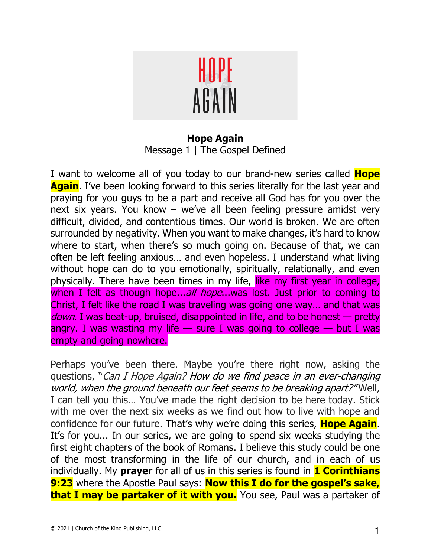

**Hope Again** Message 1 | The Gospel Defined

I want to welcome all of you today to our brand-new series called **Hope Again**. I've been looking forward to this series literally for the last year and praying for you guys to be a part and receive all God has for you over the next six years. You know – we've all been feeling pressure amidst very difficult, divided, and contentious times. Our world is broken. We are often surrounded by negativity. When you want to make changes, it's hard to know where to start, when there's so much going on. Because of that, we can often be left feeling anxious… and even hopeless. I understand what living without hope can do to you emotionally, spiritually, relationally, and even physically. There have been times in my life, like my first year in college, when I felt as though hope...all hope...was lost. Just prior to coming to Christ, I felt like the road I was traveling was going one way… and that was down. I was beat-up, bruised, disappointed in life, and to be honest — pretty angry. I was wasting my life  $-$  sure I was going to college  $-$  but I was empty and going nowhere.

Perhaps you've been there. Maybe you're there right now, asking the questions, "Can I Hope Again? How do we find peace in an ever-changing world, when the ground beneath our feet seems to be breaking apart?" Well, I can tell you this… You've made the right decision to be here today. Stick with me over the next six weeks as we find out how to live with hope and confidence for our future. That's why we're doing this series, **Hope Again**. It's for you... In our series, we are going to spend six weeks studying the first eight chapters of the book of Romans. I believe this study could be one of the most transforming in the life of our church, and in each of us individually. My **prayer** for all of us in this series is found in **1 Corinthians 9:23** where the Apostle Paul says: **Now this I do for the gospel's sake, that I may be partaker of it with you.** You see, Paul was a partaker of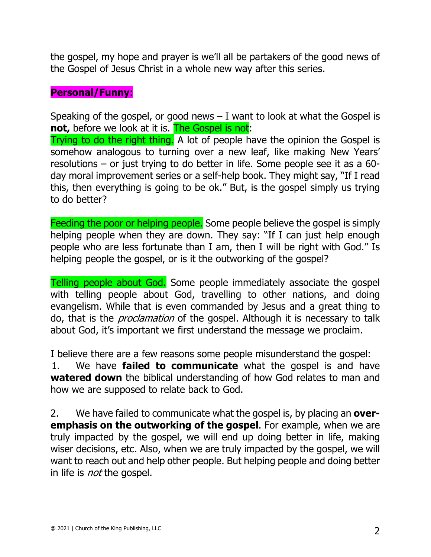the gospel, my hope and prayer is we'll all be partakers of the good news of the Gospel of Jesus Christ in a whole new way after this series.

## **Personal/Funny**:

Speaking of the gospel, or good news  $-1$  want to look at what the Gospel is **not,** before we look at it is. The Gospel is not:

Trying to do the right thing. A lot of people have the opinion the Gospel is somehow analogous to turning over a new leaf, like making New Years' resolutions – or just trying to do better in life. Some people see it as a 60 day moral improvement series or a self-help book. They might say, "If I read this, then everything is going to be ok." But, is the gospel simply us trying to do better?

Feeding the poor or helping people. Some people believe the gospel is simply helping people when they are down. They say: "If I can just help enough people who are less fortunate than I am, then I will be right with God." Is helping people the gospel, or is it the outworking of the gospel?

Telling people about God. Some people immediately associate the gospel with telling people about God, travelling to other nations, and doing evangelism. While that is even commanded by Jesus and a great thing to do, that is the *proclamation* of the gospel. Although it is necessary to talk about God, it's important we first understand the message we proclaim.

I believe there are a few reasons some people misunderstand the gospel:

1. We have **failed to communicate** what the gospel is and have **watered down** the biblical understanding of how God relates to man and how we are supposed to relate back to God.

2. We have failed to communicate what the gospel is, by placing an **overemphasis on the outworking of the gospel**. For example, when we are truly impacted by the gospel, we will end up doing better in life, making wiser decisions, etc. Also, when we are truly impacted by the gospel, we will want to reach out and help other people. But helping people and doing better in life is *not* the gospel.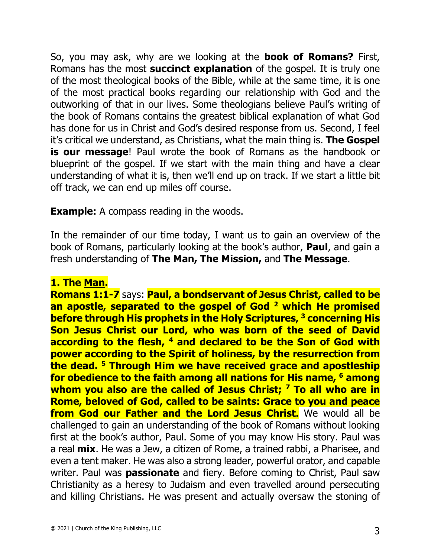So, you may ask, why are we looking at the **book of Romans?** First, Romans has the most **succinct explanation** of the gospel. It is truly one of the most theological books of the Bible, while at the same time, it is one of the most practical books regarding our relationship with God and the outworking of that in our lives. Some theologians believe Paul's writing of the book of Romans contains the greatest biblical explanation of what God has done for us in Christ and God's desired response from us. Second, I feel it's critical we understand, as Christians, what the main thing is. **The Gospel is our message**! Paul wrote the book of Romans as the handbook or blueprint of the gospel. If we start with the main thing and have a clear understanding of what it is, then we'll end up on track. If we start a little bit off track, we can end up miles off course.

**Example:** A compass reading in the woods.

In the remainder of our time today, I want us to gain an overview of the book of Romans, particularly looking at the book's author, **Paul**, and gain a fresh understanding of **The Man, The Mission,** and **The Message**.

## **1. The Man.**

**Romans 1:1-7** says: **Paul, a bondservant of Jesus Christ, called to be an apostle, separated to the gospel of God 2 which He promised before through His prophets in the Holy Scriptures, 3 concerning His Son Jesus Christ our Lord, who was born of the seed of David according to the flesh, 4 and declared to be the Son of God with power according to the Spirit of holiness, by the resurrection from the dead. 5 Through Him we have received grace and apostleship for obedience to the faith among all nations for His name, 6 among whom you also are the called of Jesus Christ; 7 To all who are in Rome, beloved of God, called to be saints: Grace to you and peace from God our Father and the Lord Jesus Christ.** We would all be challenged to gain an understanding of the book of Romans without looking first at the book's author, Paul. Some of you may know His story. Paul was a real **mix**. He was a Jew, a citizen of Rome, a trained rabbi, a Pharisee, and even a tent maker. He was also a strong leader, powerful orator, and capable writer. Paul was **passionate** and fiery. Before coming to Christ, Paul saw Christianity as a heresy to Judaism and even travelled around persecuting and killing Christians. He was present and actually oversaw the stoning of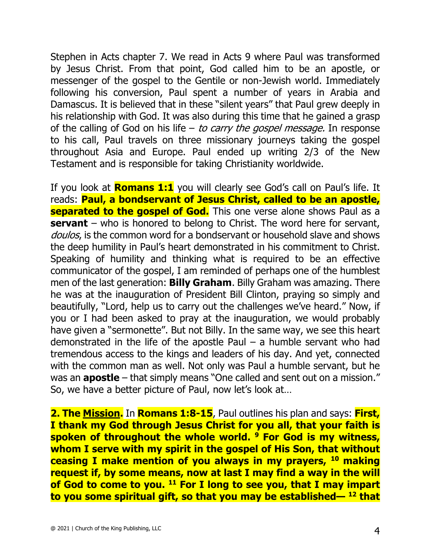Stephen in Acts chapter 7. We read in Acts 9 where Paul was transformed by Jesus Christ. From that point, God called him to be an apostle, or messenger of the gospel to the Gentile or non-Jewish world. Immediately following his conversion, Paul spent a number of years in Arabia and Damascus. It is believed that in these "silent years" that Paul grew deeply in his relationship with God. It was also during this time that he gained a grasp of the calling of God on his life – to carry the gospel message. In response to his call, Paul travels on three missionary journeys taking the gospel throughout Asia and Europe. Paul ended up writing 2/3 of the New Testament and is responsible for taking Christianity worldwide.

If you look at **Romans 1:1** you will clearly see God's call on Paul's life. It reads: **Paul, a bondservant of Jesus Christ, called to be an apostle, separated to the gospel of God.** This one verse alone shows Paul as a **servant** – who is honored to belong to Christ. The word here for servant, doulos, is the common word for a bondservant or household slave and shows the deep humility in Paul's heart demonstrated in his commitment to Christ. Speaking of humility and thinking what is required to be an effective communicator of the gospel, I am reminded of perhaps one of the humblest men of the last generation: **Billy Graham**. Billy Graham was amazing. There he was at the inauguration of President Bill Clinton, praying so simply and beautifully, "Lord, help us to carry out the challenges we've heard." Now, if you or I had been asked to pray at the inauguration, we would probably have given a "sermonette". But not Billy. In the same way, we see this heart demonstrated in the life of the apostle Paul  $-$  a humble servant who had tremendous access to the kings and leaders of his day. And yet, connected with the common man as well. Not only was Paul a humble servant, but he was an **apostle** – that simply means "One called and sent out on a mission." So, we have a better picture of Paul, now let's look at…

**2. The Mission.** In **Romans 1:8-15**, Paul outlines his plan and says: **First, I thank my God through Jesus Christ for you all, that your faith is spoken of throughout the whole world. 9 For God is my witness, whom I serve with my spirit in the gospel of His Son, that without ceasing I make mention of you always in my prayers, 10 making request if, by some means, now at last I may find a way in the will of God to come to you. 11 For I long to see you, that I may impart to you some spiritual gift, so that you may be established— <sup>12</sup> that**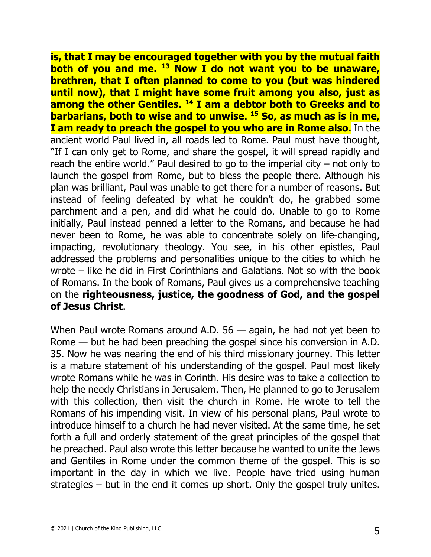**is, that I may be encouraged together with you by the mutual faith both of you and me. 13 Now I do not want you to be unaware, brethren, that I often planned to come to you (but was hindered until now), that I might have some fruit among you also, just as among the other Gentiles. 14 I am a debtor both to Greeks and to barbarians, both to wise and to unwise. 15 So, as much as is in me, I am ready to preach the gospel to you who are in Rome also.** In the ancient world Paul lived in, all roads led to Rome. Paul must have thought, "If I can only get to Rome, and share the gospel, it will spread rapidly and reach the entire world." Paul desired to go to the imperial city – not only to launch the gospel from Rome, but to bless the people there. Although his plan was brilliant, Paul was unable to get there for a number of reasons. But instead of feeling defeated by what he couldn't do, he grabbed some parchment and a pen, and did what he could do. Unable to go to Rome initially, Paul instead penned a letter to the Romans, and because he had never been to Rome, he was able to concentrate solely on life-changing, impacting, revolutionary theology. You see, in his other epistles, Paul addressed the problems and personalities unique to the cities to which he wrote – like he did in First Corinthians and Galatians. Not so with the book of Romans. In the book of Romans, Paul gives us a comprehensive teaching on the **righteousness, justice, the goodness of God, and the gospel of Jesus Christ**.

When Paul wrote Romans around A.D. 56 — again, he had not yet been to Rome — but he had been preaching the gospel since his conversion in A.D. 35. Now he was nearing the end of his third missionary journey. This letter is a mature statement of his understanding of the gospel. Paul most likely wrote Romans while he was in Corinth. His desire was to take a collection to help the needy Christians in Jerusalem. Then, He planned to go to Jerusalem with this collection, then visit the church in Rome. He wrote to tell the Romans of his impending visit. In view of his personal plans, Paul wrote to introduce himself to a church he had never visited. At the same time, he set forth a full and orderly statement of the great principles of the gospel that he preached. Paul also wrote this letter because he wanted to unite the Jews and Gentiles in Rome under the common theme of the gospel. This is so important in the day in which we live. People have tried using human strategies – but in the end it comes up short. Only the gospel truly unites.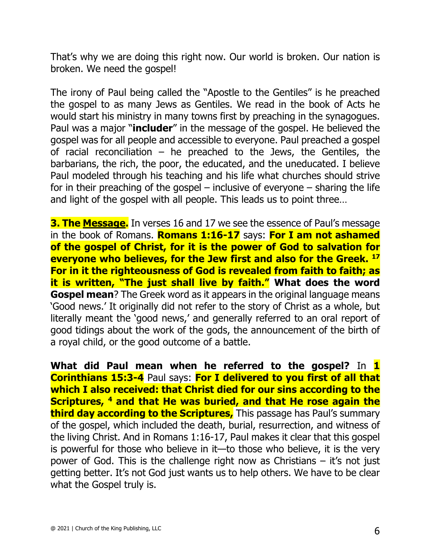That's why we are doing this right now. Our world is broken. Our nation is broken. We need the gospel!

The irony of Paul being called the "Apostle to the Gentiles" is he preached the gospel to as many Jews as Gentiles. We read in the book of Acts he would start his ministry in many towns first by preaching in the synagogues. Paul was a major "**includer**" in the message of the gospel. He believed the gospel was for all people and accessible to everyone. Paul preached a gospel of racial reconciliation – he preached to the Jews, the Gentiles, the barbarians, the rich, the poor, the educated, and the uneducated. I believe Paul modeled through his teaching and his life what churches should strive for in their preaching of the gospel – inclusive of everyone – sharing the life and light of the gospel with all people. This leads us to point three…

**3. The Message.** In verses 16 and 17 we see the essence of Paul's message in the book of Romans. **Romans 1:16-17** says: **For I am not ashamed of the gospel of Christ, for it is the power of God to salvation for everyone who believes, for the Jew first and also for the Greek. 17 For in it the righteousness of God is revealed from faith to faith; as it is written, "The just shall live by faith." What does the word Gospel mean**? The Greek word as it appears in the original language means 'Good news.' It originally did not refer to the story of Christ as a whole, but literally meant the 'good news,' and generally referred to an oral report of good tidings about the work of the gods, the announcement of the birth of a royal child, or the good outcome of a battle.

**What did Paul mean when he referred to the gospel?** In **1 Corinthians 15:3-4** Paul says: For I delivered to you first of all that **which I also received: that Christ died for our sins according to the Scriptures, 4 and that He was buried, and that He rose again the third day according to the Scriptures,** This passage has Paul's summary of the gospel, which included the death, burial, resurrection, and witness of the living Christ. And in Romans 1:16-17, Paul makes it clear that this gospel is powerful for those who believe in it—to those who believe, it is the very power of God. This is the challenge right now as Christians – it's not just getting better. It's not God just wants us to help others. We have to be clear what the Gospel truly is.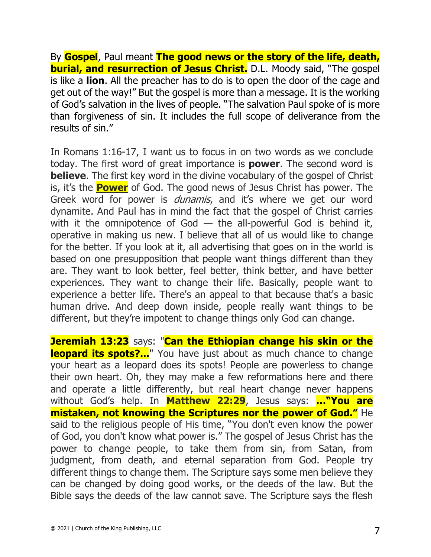By **Gospel**, Paul meant **The good news or the story of the life, death, burial, and resurrection of Jesus Christ.** D.L. Moody said, "The gospel is like a **lion**. All the preacher has to do is to open the door of the cage and get out of the way!" But the gospel is more than a message. It is the working of God's salvation in the lives of people. "The salvation Paul spoke of is more than forgiveness of sin. It includes the full scope of deliverance from the results of sin."

In Romans 1:16-17, I want us to focus in on two words as we conclude today. The first word of great importance is **power**. The second word is **believe**. The first key word in the divine vocabulary of the gospel of Christ is, it's the **Power** of God. The good news of Jesus Christ has power. The Greek word for power is *dunamis*, and it's where we get our word dynamite. And Paul has in mind the fact that the gospel of Christ carries with it the omnipotence of God  $-$  the all-powerful God is behind it, operative in making us new. I believe that all of us would like to change for the better. If you look at it, all advertising that goes on in the world is based on one presupposition that people want things different than they are. They want to look better, feel better, think better, and have better experiences. They want to change their life. Basically, people want to experience a better life. There's an appeal to that because that's a basic human drive. And deep down inside, people really want things to be different, but they're impotent to change things only God can change.

**Jeremiah 13:23** says: "Can the Ethiopian change his skin or the **leopard its spots?...**" You have just about as much chance to change your heart as a leopard does its spots! People are powerless to change their own heart. Oh, they may make a few reformations here and there and operate a little differently, but real heart change never happens without God's help. In **Matthew 22:29**, Jesus says: **…"You are mistaken, not knowing the Scriptures nor the power of God."** He said to the religious people of His time, "You don't even know the power of God, you don't know what power is." The gospel of Jesus Christ has the power to change people, to take them from sin, from Satan, from judgment, from death, and eternal separation from God. People try different things to change them. The Scripture says some men believe they can be changed by doing good works, or the deeds of the law. But the Bible says the deeds of the law cannot save. The Scripture says the flesh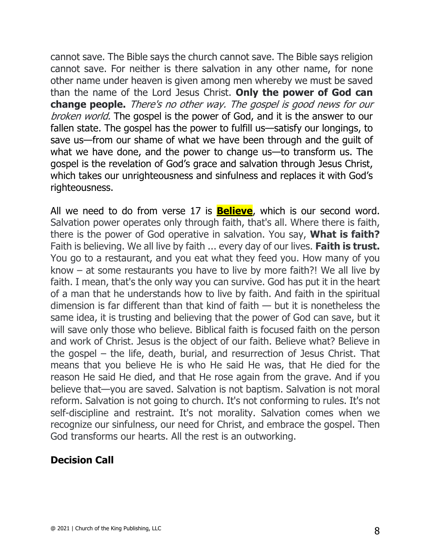cannot save. The Bible says the church cannot save. The Bible says religion cannot save. For neither is there salvation in any other name, for none other name under heaven is given among men whereby we must be saved than the name of the Lord Jesus Christ. **Only the power of God can change people.** There's no other way. The gospel is good news for our broken world. The gospel is the power of God, and it is the answer to our fallen state. The gospel has the power to fulfill us—satisfy our longings, to save us—from our shame of what we have been through and the guilt of what we have done, and the power to change us—to transform us. The gospel is the revelation of God's grace and salvation through Jesus Christ, which takes our unrighteousness and sinfulness and replaces it with God's righteousness.

All we need to do from verse 17 is **Believe**, which is our second word. Salvation power operates only through faith, that's all. Where there is faith, there is the power of God operative in salvation. You say, **What is faith?** Faith is believing. We all live by faith ... every day of our lives. **Faith is trust.** You go to a restaurant, and you eat what they feed you. How many of you know – at some restaurants you have to live by more faith?! We all live by faith. I mean, that's the only way you can survive. God has put it in the heart of a man that he understands how to live by faith. And faith in the spiritual dimension is far different than that kind of faith — but it is nonetheless the same idea, it is trusting and believing that the power of God can save, but it will save only those who believe. Biblical faith is focused faith on the person and work of Christ. Jesus is the object of our faith. Believe what? Believe in the gospel – the life, death, burial, and resurrection of Jesus Christ. That means that you believe He is who He said He was, that He died for the reason He said He died, and that He rose again from the grave. And if you believe that—you are saved. Salvation is not baptism. Salvation is not moral reform. Salvation is not going to church. It's not conforming to rules. It's not self-discipline and restraint. It's not morality. Salvation comes when we recognize our sinfulness, our need for Christ, and embrace the gospel. Then God transforms our hearts. All the rest is an outworking.

## **Decision Call**